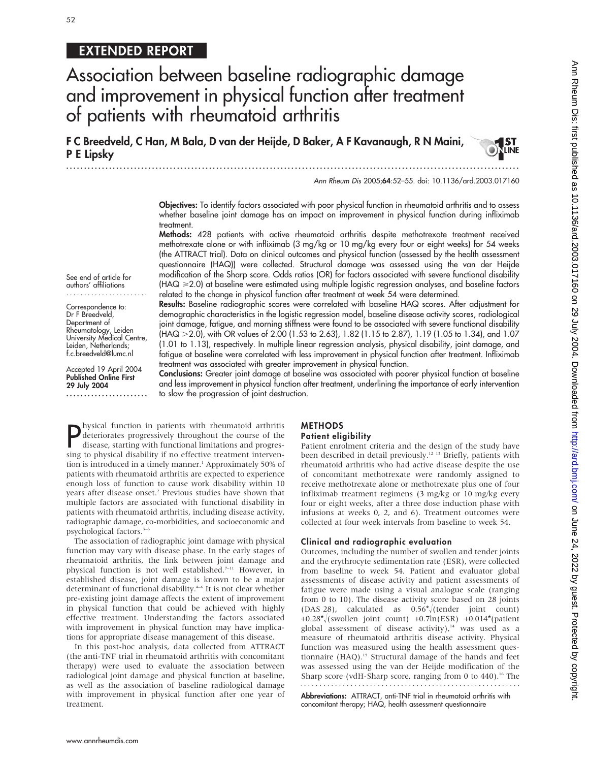# 52

# EXTENDED REPORT

Association between baseline radiographic damage and improvement in physical function after treatment of patients with rheumatoid arthritis

F C Breedveld, C Han, M Bala, D van der Heijde, D Baker, A F Kavanaugh, R N Maini, P E Lipsky

...............................................................................................................................

Ann Rheum Dis 2005;64:52–55. doi: 10.1136/ard.2003.017160

Objectives: To identify factors associated with poor physical function in rheumatoid arthritis and to assess whether baseline joint damage has an impact on improvement in physical function during infliximab treatment.

Methods: 428 patients with active rheumatoid arthritis despite methotrexate treatment received methotrexate alone or with infliximab (3 mg/kg or 10 mg/kg every four or eight weeks) for 54 weeks (the ATTRACT trial). Data on clinical outcomes and physical function (assessed by the health assessment questionnaire (HAQ)) were collected. Structural damage was assessed using the van der Heijde modification of the Sharp score. Odds ratios (OR) for factors associated with severe functional disability  $(HAQ \ge 2.0)$  at baseline were estimated using multiple logistic regression analyses, and baseline factors related to the change in physical function after treatment at week 54 were determined.

See end of article for authors' affiliations .......................

Correspondence to: Dr F Breedveld, Department of Rheumatology, Leiden University Medical Centre, Leiden, Netherlands; f.c.breedveld@lumc.nl

Accepted 19 April 2004 Published Online First 29 July 2004 .......................

Results: Baseline radiographic scores were correlated with baseline HAQ scores. After adjustment for demographic characteristics in the logistic regression model, baseline disease activity scores, radiological joint damage, fatigue, and morning stiffness were found to be associated with severe functional disability (HAQ > 2.0), with OR values of 2.00 (1.53 to 2.63), 1.82 (1.15 to 2.87), 1.19 (1.05 to 1.34), and 1.07 (1.01 to 1.13), respectively. In multiple linear regression analysis, physical disability, joint damage, and fatigue at baseline were correlated with less improvement in physical function after treatment. Infliximab treatment was associated with greater improvement in physical function.

Conclusions: Greater joint damage at baseline was associated with poorer physical function at baseline and less improvement in physical function after treatment, underlining the importance of early intervention to slow the progression of joint destruction.

**P** hysical function in patients with rheumatoid arthritis<br>deteriorates progressively throughout the course of the<br>disease, starting with functional limitations and progres-<br>sing to physical displility if no effective trea hysical function in patients with rheumatoid arthritis disease, starting with functional limitations and progressing to physical disability if no effective treatment intervention is introduced in a timely manner.<sup>1</sup> Approximately 50% of patients with rheumatoid arthritis are expected to experience enough loss of function to cause work disability within 10 years after disease onset.<sup>2</sup> Previous studies have shown that multiple factors are associated with functional disability in patients with rheumatoid arthritis, including disease activity, radiographic damage, co-morbidities, and socioeconomic and psychological factors.<sup>3-6</sup>

The association of radiographic joint damage with physical function may vary with disease phase. In the early stages of rheumatoid arthritis, the link between joint damage and physical function is not well established.<sup>7-11</sup> However, in established disease, joint damage is known to be a major determinant of functional disability.<sup>4-6</sup> It is not clear whether pre-existing joint damage affects the extent of improvement in physical function that could be achieved with highly effective treatment. Understanding the factors associated with improvement in physical function may have implications for appropriate disease management of this disease.

In this post-hoc analysis, data collected from ATTRACT (the anti-TNF trial in rheumatoid arthritis with concomitant therapy) were used to evaluate the association between radiological joint damage and physical function at baseline, as well as the association of baseline radiological damage with improvement in physical function after one year of treatment.

#### METHODS Patient eligibility

Patient enrolment criteria and the design of the study have been described in detail previously.12 13 Briefly, patients with rheumatoid arthritis who had active disease despite the use of concomitant methotrexate were randomly assigned to receive methotrexate alone or methotrexate plus one of four infliximab treatment regimens (3 mg/kg or 10 mg/kg every four or eight weeks, after a three dose induction phase with infusions at weeks 0, 2, and 6). Treatment outcomes were collected at four week intervals from baseline to week 54.

### Clinical and radiographic evaluation

Outcomes, including the number of swollen and tender joints and the erythrocyte sedimentation rate (ESR), were collected from baseline to week 54. Patient and evaluator global assessments of disease activity and patient assessments of fatigue were made using a visual analogue scale (ranging from 0 to 10). The disease activity score based on 28 joints (DAS 28), calculated as  $0.56 \sqrt{\text{tender}}$  joint count) +0.28\* $\sqrt{(s}$  swollen joint count) +0.7ln(ESR) +0.014\*(patient global assessment of disease activity), $14$  was used as a measure of rheumatoid arthritis disease activity. Physical function was measured using the health assessment questionnaire (HAQ).<sup>15</sup> Structural damage of the hands and feet was assessed using the van der Heijde modification of the Sharp score (vdH-Sharp score, ranging from 0 to 440).<sup>16</sup> The 

Abbreviations: ATTRACT, anti-TNF trial in rheumatoid arthritis with concomitant therapy; HAQ, health assessment questionnaire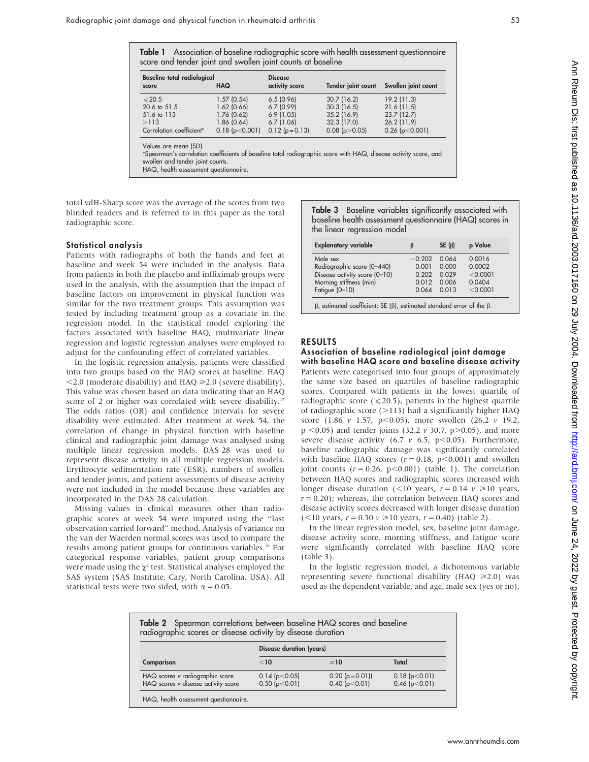|  |                                                             |  |  | Table 1 Association of baseline radiographic score with health assessment questionnaire |
|--|-------------------------------------------------------------|--|--|-----------------------------------------------------------------------------------------|
|  | score and tender joint and swollen joint counts at baseline |  |  |                                                                                         |

| <b>Baseline total radiological</b><br>score | <b>HAQ</b>               | <b>Disease</b><br>activity score | Tender joint count        | Swollen joint count      |
|---------------------------------------------|--------------------------|----------------------------------|---------------------------|--------------------------|
| $\leq 20.5$                                 | 1.57(0.54)               | 6.5(0.96)                        | 30.7(16.2)                | 19.2(11.3)               |
| 20.6 to 51.5<br>51.6 to 113                 | 1.62(0.66)<br>1.76(0.62) | 6.7(0.99)<br>6.9(1.05)           | 30.3(16.5)<br>35.2 (16.9) | 21.6(11.5)<br>23.7(12.7) |
| >113                                        | 1.86(0.64)               | 6.7(1.06)                        | 32.3 (17.0)               | $26.2$ (11.9)            |
| Correlation coefficient*                    | $0.18$ (p $< 0.001$ )    | $0.12$ (p = 0.13)                | $0.08$ (p $>0.05$ )       | $0.26$ (p $< 0.001$ )    |

Values are mean (SD).

\*Spearman's correlation coefficients of baseline total radiographic score with HAQ, disease activity score, and swollen and tender joint counts.

HAQ, health assessment questionnaire.

total vdH-Sharp score was the average of the scores from two blinded readers and is referred to in this paper as the total radiographic score.

#### Statistical analysis

Patients with radiographs of both the hands and feet at baseline and week 54 were included in the analysis. Data from patients in both the placebo and infliximab groups were used in the analysis, with the assumption that the impact of baseline factors on improvement in physical function was similar for the two treatment groups. This assumption was tested by including treatment group as a covariate in the regression model. In the statistical model exploring the factors associated with baseline HAQ, multivariate linear regression and logistic regression analyses were employed to adjust for the confounding effect of correlated variables.

In the logistic regression analysis, patients were classified into two groups based on the HAQ scores at baseline: HAQ  $<$  2.0 (moderate disability) and HAQ  $\geq$  2.0 (severe disability). This value was chosen based on data indicating that an HAQ score of 2 or higher was correlated with severe disability.<sup>17</sup> The odds ratios (OR) and confidence intervals for severe disability were estimated. After treatment at week 54, the correlation of change in physical function with baseline clinical and radiographic joint damage was analysed using multiple linear regression models. DAS 28 was used to represent disease activity in all multiple regression models. Erythrocyte sedimentation rate (ESR), numbers of swollen and tender joints, and patient assessments of disease activity were not included in the model because these variables are incorporated in the DAS 28 calculation.

Missing values in clinical measures other than radiographic scores at week 54 were imputed using the ''last observation carried forward'' method. Analysis of variance on the van der Waerden normal scores was used to compare the results among patient groups for continuous variables.18 For categorical response variables, patient group comparisons were made using the  $\chi^2$  test. Statistical analyses employed the SAS system (SAS Institute, Cary, North Carolina, USA). All statistical tests were two sided, with  $\alpha = 0.05$ .

Table 3 Baseline variables significantly associated with baseline health assessment questionnaire (HAQ) scores in the linear regression model

| <b>Explanatory variable</b>   | ß        | $SE(\beta)$ | p Value  |
|-------------------------------|----------|-------------|----------|
| Male sex                      | $-0.202$ | 0.064       | 0.0016   |
| Radiographic score (0-440)    | 0.001    | 0.000       | 0.0002   |
| Disease activity score (0-10) | 0.202    | 0.029       | < 0.0001 |
| Morning stiffness (min)       | 0.012    | 0.006       | 0.0404   |
| Fatique (0-10)                | 0.064    | 0.013       | < 0.0001 |

### RESULTS

#### Association of baseline radiological joint damage with baseline HAQ score and baseline disease activity

Patients were categorised into four groups of approximately the same size based on quartiles of baseline radiographic scores. Compared with patients in the lowest quartile of radiographic score ( $\leq$ 20.5), patients in the highest quartile of radiographic score  $(>113)$  had a significantly higher HAQ score (1.86  $v$  1.57, p<0.05), more swollen (26.2  $v$  19.2,  $p \le 0.05$ ) and tender joints (32.2 v 30.7, p $> 0.05$ ), and more severe disease activity (6.7  $\nu$  6.5, p<0.05). Furthermore, baseline radiographic damage was significantly correlated with baseline HAQ scores ( $r = 0.18$ ,  $p < 0.001$ ) and swollen joint counts  $(r = 0.26, p < 0.001)$  (table 1). The correlation between HAQ scores and radiographic scores increased with longer disease duration (<10 years,  $r = 0.14$   $v \ge 10$  years,  $r = 0.20$ ); whereas, the correlation between HAQ scores and disease activity scores decreased with longer disease duration  $(<10$  years,  $r = 0.50$   $\nu \ge 10$  years,  $r = 0.40$ ) (table 2).

In the linear regression model, sex, baseline joint damage, disease activity score, morning stiffness, and fatigue score were significantly correlated with baseline HAQ score (table 3).

In the logistic regression model, a dichotomous variable representing severe functional disability (HAQ  $\geq 2.0$ ) was used as the dependent variable, and age, male sex (yes or no),

| Table 2 Spearman correlations between baseline HAQ scores and baseline radiographic scores or disease activity by disease duration |                                      |                                  |                              |
|------------------------------------------------------------------------------------------------------------------------------------|--------------------------------------|----------------------------------|------------------------------|
|                                                                                                                                    | <b>Disease duration (years)</b>      |                                  |                              |
| Comparison                                                                                                                         | < 10                                 | $\geq 10$                        | Total                        |
| HAQ scores v radiographic score<br>HAQ scores v disease activity score                                                             | $0.14$ (p $< 0.05$ )<br>0.50(p<0.01) | $0.20$ (p=0.01))<br>0.40(p<0.01) | 0.18(p<0.01)<br>0.46(p<0.01) |
| HAQ, health assessment questionnaire.                                                                                              |                                      |                                  |                              |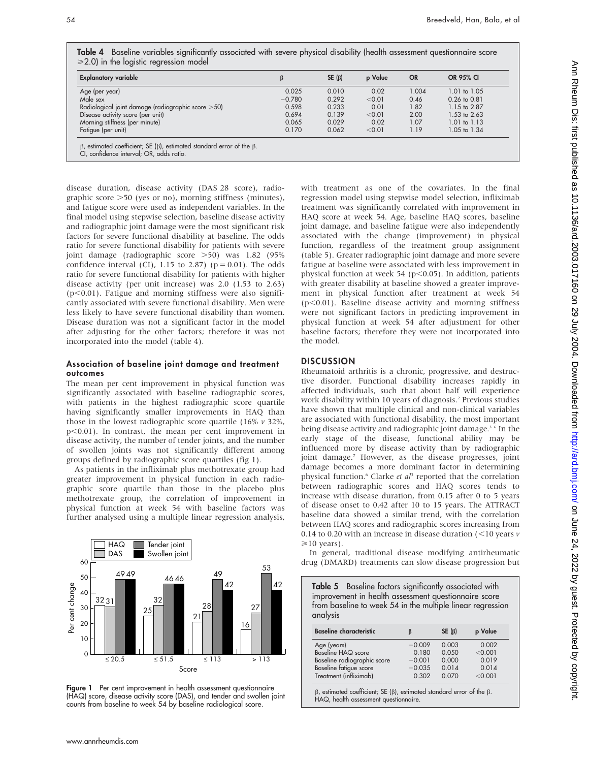Table 4 Baseline variables significantly associated with severe physical disability (health assessment questionnaire score  $\geqslant$  2.0) in the logistic regression model

| <b>Explanatory variable</b>                        |          | $SE(\beta)$ | p Value | <b>OR</b> | <b>OR 95% CI</b> |
|----------------------------------------------------|----------|-------------|---------|-----------|------------------|
| Age (per year)                                     | 0.025    | 0.010       | 0.02    | 1.004     | 1.01 to 1.05     |
| Male sex                                           | $-0.780$ | 0.292       | < 0.01  | 0.46      | $0.26$ to $0.81$ |
| Radiological joint damage (radiographic score >50) | 0.598    | 0.233       | 0.01    | 1.82      | 1.15 to 2.87     |
| Disease activity score (per unit)                  | 0.694    | 0.139       | < 0.01  | 2.00      | 1.53 to 2.63     |
| Morning stiffness (per minute)                     | 0.065    | 0.029       | 0.02    | 1.07      | $1.01$ to $1.13$ |
| Fatique (per unit)                                 | 0.170    | 0.062       | < 0.01  | 1.19      | 1.05 to 1.34     |

 $\beta$ , estimated coefficient; SE ( $\beta$ ), estimated standard error of the  $\beta$ .

disease duration, disease activity (DAS 28 score), radiographic score  $>50$  (yes or no), morning stiffness (minutes), and fatigue score were used as independent variables. In the final model using stepwise selection, baseline disease activity and radiographic joint damage were the most significant risk factors for severe functional disability at baseline. The odds ratio for severe functional disability for patients with severe joint damage (radiographic score > 50) was 1.82 (95% confidence interval (CI), 1.15 to 2.87) ( $p = 0.01$ ). The odds ratio for severe functional disability for patients with higher disease activity (per unit increase) was 2.0 (1.53 to 2.63)  $(p<0.01)$ . Fatigue and morning stiffness were also significantly associated with severe functional disability. Men were less likely to have severe functional disability than women. Disease duration was not a significant factor in the model after adjusting for the other factors; therefore it was not incorporated into the model (table 4).

# Association of baseline joint damage and treatment outcomes

The mean per cent improvement in physical function was significantly associated with baseline radiographic scores, with patients in the highest radiographic score quartile having significantly smaller improvements in HAQ than those in the lowest radiographic score quartile (16%  $\nu$  32%,  $p<0.01$ ). In contrast, the mean per cent improvement in disease activity, the number of tender joints, and the number of swollen joints was not significantly different among groups defined by radiographic score quartiles (fig 1).

As patients in the infliximab plus methotrexate group had greater improvement in physical function in each radiographic score quartile than those in the placebo plus methotrexate group, the correlation of improvement in physical function at week 54 with baseline factors was further analysed using a multiple linear regression analysis,



Figure 1 Per cent improvement in health assessment questionnaire (HAQ) score, disease activity score (DAS), and tender and swollen joint counts from baseline to week 54 by baseline radiological score.

with treatment as one of the covariates. In the final regression model using stepwise model selection, infliximab treatment was significantly correlated with improvement in HAQ score at week 54. Age, baseline HAQ scores, baseline joint damage, and baseline fatigue were also independently associated with the change (improvement) in physical function, regardless of the treatment group assignment (table 5). Greater radiographic joint damage and more severe fatigue at baseline were associated with less improvement in physical function at week 54 ( $p$ <0.05). In addition, patients with greater disability at baseline showed a greater improvement in physical function after treatment at week 54  $(p<0.01)$ . Baseline disease activity and morning stiffness were not significant factors in predicting improvement in physical function at week 54 after adjustment for other baseline factors; therefore they were not incorporated into the model.

# **DISCUSSION**

Rheumatoid arthritis is a chronic, progressive, and destructive disorder. Functional disability increases rapidly in affected individuals, such that about half will experience work disability within 10 years of diagnosis.<sup>2</sup> Previous studies have shown that multiple clinical and non-clinical variables are associated with functional disability, the most important being disease activity and radiographic joint damage.<sup>3</sup> <sup>6</sup> In the early stage of the disease, functional ability may be influenced more by disease activity than by radiographic joint damage.7 However, as the disease progresses, joint damage becomes a more dominant factor in determining physical function.<sup>6</sup> Clarke et al<sup>3</sup> reported that the correlation between radiographic scores and HAQ scores tends to increase with disease duration, from 0.15 after 0 to 5 years of disease onset to 0.42 after 10 to 15 years. The ATTRACT baseline data showed a similar trend, with the correlation between HAQ scores and radiographic scores increasing from 0.14 to 0.20 with an increase in disease duration  $\left($  < 10 years  $\nu$  $\geq 10$  years).

In general, traditional disease modifying antirheumatic drug (DMARD) treatments can slow disease progression but

| <b>Table 5</b> Baseline factors significantly associated with<br>improvement in health assessment questionnaire score<br>from baseline to week 54 in the multiple linear regression<br>analysis |          |             |         |  |
|-------------------------------------------------------------------------------------------------------------------------------------------------------------------------------------------------|----------|-------------|---------|--|
| <b>Baseline characteristic</b>                                                                                                                                                                  | ß        | $SE(\beta)$ | p Value |  |
| Age (years)                                                                                                                                                                                     | $-0.009$ | 0.003       | 0.002   |  |
| Baseline HAQ score                                                                                                                                                                              | 0.180    | 0.050       | < 0.001 |  |
| Baseline radiographic score                                                                                                                                                                     | $-0.001$ | 0.000       | 0.019   |  |
| <b>Baseline fatigue score</b>                                                                                                                                                                   | $-0.035$ | 0.014       | 0.014   |  |
|                                                                                                                                                                                                 |          |             |         |  |

CI, confidence interval; OR, odds ratio.